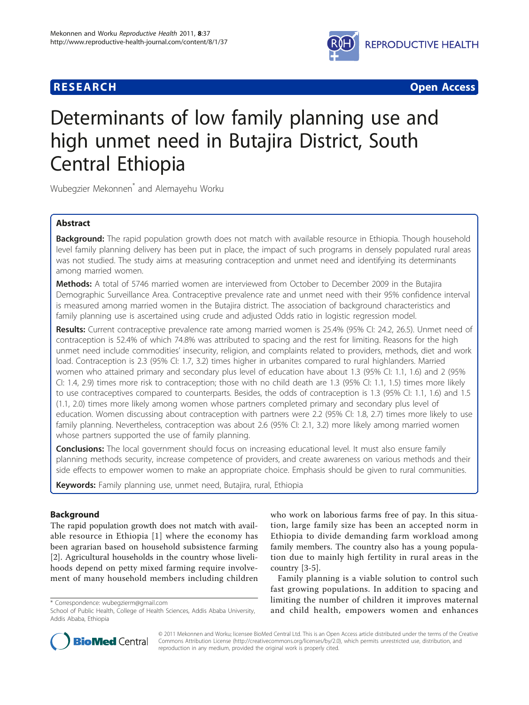## **RESEARCH CONTROL** CONTROL CONTROL CONTROL CONTROL CONTROL CONTROL CONTROL CONTROL CONTROL CONTROL CONTROL CONTROL



# Determinants of low family planning use and high unmet need in Butajira District, South Central Ethiopia

Wubegzier Mekonnen\* and Alemayehu Worku

## Abstract

Background: The rapid population growth does not match with available resource in Ethiopia. Though household level family planning delivery has been put in place, the impact of such programs in densely populated rural areas was not studied. The study aims at measuring contraception and unmet need and identifying its determinants among married women.

Methods: A total of 5746 married women are interviewed from October to December 2009 in the Butajira Demographic Surveillance Area. Contraceptive prevalence rate and unmet need with their 95% confidence interval is measured among married women in the Butajira district. The association of background characteristics and family planning use is ascertained using crude and adjusted Odds ratio in logistic regression model.

Results: Current contraceptive prevalence rate among married women is 25.4% (95% CI: 24.2, 26.5). Unmet need of contraception is 52.4% of which 74.8% was attributed to spacing and the rest for limiting. Reasons for the high unmet need include commodities' insecurity, religion, and complaints related to providers, methods, diet and work load. Contraception is 2.3 (95% CI: 1.7, 3.2) times higher in urbanites compared to rural highlanders. Married women who attained primary and secondary plus level of education have about 1.3 (95% CI: 1.1, 1.6) and 2 (95% CI: 1.4, 2.9) times more risk to contraception; those with no child death are 1.3 (95% CI: 1.1, 1.5) times more likely to use contraceptives compared to counterparts. Besides, the odds of contraception is 1.3 (95% CI: 1.1, 1.6) and 1.5 (1.1, 2.0) times more likely among women whose partners completed primary and secondary plus level of education. Women discussing about contraception with partners were 2.2 (95% CI: 1.8, 2.7) times more likely to use family planning. Nevertheless, contraception was about 2.6 (95% CI: 2.1, 3.2) more likely among married women whose partners supported the use of family planning.

**Conclusions:** The local government should focus on increasing educational level. It must also ensure family planning methods security, increase competence of providers, and create awareness on various methods and their side effects to empower women to make an appropriate choice. Emphasis should be given to rural communities.

Keywords: Family planning use, unmet need, Butajira, rural, Ethiopia

## Background

The rapid population growth does not match with available resource in Ethiopia [[1\]](#page-6-0) where the economy has been agrarian based on household subsistence farming [[2\]](#page-6-0). Agricultural households in the country whose livelihoods depend on petty mixed farming require involvement of many household members including children who work on laborious farms free of pay. In this situation, large family size has been an accepted norm in Ethiopia to divide demanding farm workload among family members. The country also has a young population due to mainly high fertility in rural areas in the country [\[3](#page-6-0)-[5\]](#page-6-0).

Family planning is a viable solution to control such fast growing populations. In addition to spacing and limiting the number of children it improves maternal and child health, empowers women and enhances



© 2011 Mekonnen and Worku; licensee BioMed Central Ltd. This is an Open Access article distributed under the terms of the Creative Commons Attribution License [\(http://creativecommons.org/licenses/by/2.0](http://creativecommons.org/licenses/by/2.0)), which permits unrestricted use, distribution, and reproduction in any medium, provided the original work is properly cited.

<sup>\*</sup> Correspondence: [wubegzierm@gmail.com](mailto:wubegzierm@gmail.com)

School of Public Health, College of Health Sciences, Addis Ababa University, Addis Ababa, Ethiopia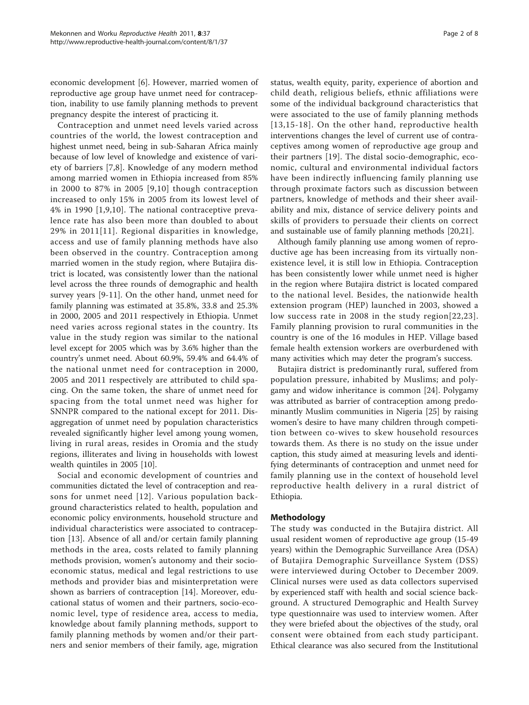economic development [[6](#page-6-0)]. However, married women of reproductive age group have unmet need for contraception, inability to use family planning methods to prevent pregnancy despite the interest of practicing it.

Contraception and unmet need levels varied across countries of the world, the lowest contraception and highest unmet need, being in sub-Saharan Africa mainly because of low level of knowledge and existence of variety of barriers [[7,8\]](#page-6-0). Knowledge of any modern method among married women in Ethiopia increased from 85% in 2000 to 87% in 2005 [[9](#page-6-0),[10](#page-6-0)] though contraception increased to only 15% in 2005 from its lowest level of 4% in 1990 [\[1](#page-6-0),[9,10](#page-6-0)]. The national contraceptive prevalence rate has also been more than doubled to about 29% in 2011[[11](#page-6-0)]. Regional disparities in knowledge, access and use of family planning methods have also been observed in the country. Contraception among married women in the study region, where Butajira district is located, was consistently lower than the national level across the three rounds of demographic and health survey years [[9-11](#page-6-0)]. On the other hand, unmet need for family planning was estimated at 35.8%, 33.8 and 25.3% in 2000, 2005 and 2011 respectively in Ethiopia. Unmet need varies across regional states in the country. Its value in the study region was similar to the national level except for 2005 which was by 3.6% higher than the country's unmet need. About 60.9%, 59.4% and 64.4% of the national unmet need for contraception in 2000, 2005 and 2011 respectively are attributed to child spacing. On the same token, the share of unmet need for spacing from the total unmet need was higher for SNNPR compared to the national except for 2011. Disaggregation of unmet need by population characteristics revealed significantly higher level among young women, living in rural areas, resides in Oromia and the study regions, illiterates and living in households with lowest wealth quintiles in 2005 [[10](#page-6-0)].

Social and economic development of countries and communities dictated the level of contraception and reasons for unmet need [[12](#page-6-0)]. Various population background characteristics related to health, population and economic policy environments, household structure and individual characteristics were associated to contraception [[13\]](#page-7-0). Absence of all and/or certain family planning methods in the area, costs related to family planning methods provision, women's autonomy and their socioeconomic status, medical and legal restrictions to use methods and provider bias and misinterpretation were shown as barriers of contraception [[14\]](#page-7-0). Moreover, educational status of women and their partners, socio-economic level, type of residence area, access to media, knowledge about family planning methods, support to family planning methods by women and/or their partners and senior members of their family, age, migration status, wealth equity, parity, experience of abortion and child death, religious beliefs, ethnic affiliations were some of the individual background characteristics that were associated to the use of family planning methods [[13](#page-7-0),[15](#page-7-0)-[18](#page-7-0)]. On the other hand, reproductive health interventions changes the level of current use of contraceptives among women of reproductive age group and their partners [[19\]](#page-7-0). The distal socio-demographic, economic, cultural and environmental individual factors have been indirectly influencing family planning use through proximate factors such as discussion between partners, knowledge of methods and their sheer availability and mix, distance of service delivery points and skills of providers to persuade their clients on correct and sustainable use of family planning methods [[20,21\]](#page-7-0).

Although family planning use among women of reproductive age has been increasing from its virtually nonexistence level, it is still low in Ethiopia. Contraception has been consistently lower while unmet need is higher in the region where Butajira district is located compared to the national level. Besides, the nationwide health extension program (HEP) launched in 2003, showed a low success rate in 2008 in the study region[[22,23\]](#page-7-0). Family planning provision to rural communities in the country is one of the 16 modules in HEP. Village based female health extension workers are overburdened with many activities which may deter the program's success.

Butajira district is predominantly rural, suffered from population pressure, inhabited by Muslims; and polygamy and widow inheritance is common [[24](#page-7-0)]. Polygamy was attributed as barrier of contraception among predominantly Muslim communities in Nigeria [\[25](#page-7-0)] by raising women's desire to have many children through competition between co-wives to skew household resources towards them. As there is no study on the issue under caption, this study aimed at measuring levels and identifying determinants of contraception and unmet need for family planning use in the context of household level reproductive health delivery in a rural district of Ethiopia.

### Methodology

The study was conducted in the Butajira district. All usual resident women of reproductive age group (15-49 years) within the Demographic Surveillance Area (DSA) of Butajira Demographic Surveillance System (DSS) were interviewed during October to December 2009. Clinical nurses were used as data collectors supervised by experienced staff with health and social science background. A structured Demographic and Health Survey type questionnaire was used to interview women. After they were briefed about the objectives of the study, oral consent were obtained from each study participant. Ethical clearance was also secured from the Institutional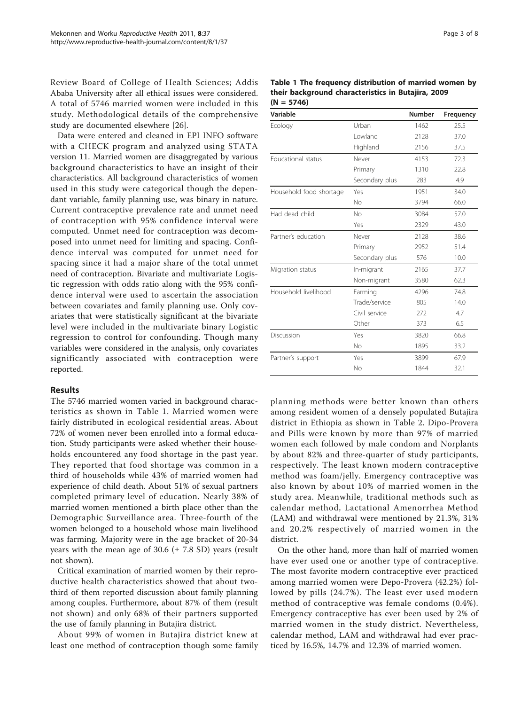Review Board of College of Health Sciences; Addis Ababa University after all ethical issues were considered. A total of 5746 married women were included in this study. Methodological details of the comprehensive study are documented elsewhere [\[26\]](#page-7-0).

Data were entered and cleaned in EPI INFO software with a CHECK program and analyzed using STATA version 11. Married women are disaggregated by various background characteristics to have an insight of their characteristics. All background characteristics of women used in this study were categorical though the dependant variable, family planning use, was binary in nature. Current contraceptive prevalence rate and unmet need of contraception with 95% confidence interval were computed. Unmet need for contraception was decomposed into unmet need for limiting and spacing. Confidence interval was computed for unmet need for spacing since it had a major share of the total unmet need of contraception. Bivariate and multivariate Logistic regression with odds ratio along with the 95% confidence interval were used to ascertain the association between covariates and family planning use. Only covariates that were statistically significant at the bivariate level were included in the multivariate binary Logistic regression to control for confounding. Though many variables were considered in the analysis, only covariates significantly associated with contraception were reported.

#### Results

The 5746 married women varied in background characteristics as shown in Table 1. Married women were fairly distributed in ecological residential areas. About 72% of women never been enrolled into a formal education. Study participants were asked whether their households encountered any food shortage in the past year. They reported that food shortage was common in a third of households while 43% of married women had experience of child death. About 51% of sexual partners completed primary level of education. Nearly 38% of married women mentioned a birth place other than the Demographic Surveillance area. Three-fourth of the women belonged to a household whose main livelihood was farming. Majority were in the age bracket of 20-34 years with the mean age of 30.6  $(\pm 7.8$  SD) years (result not shown).

Critical examination of married women by their reproductive health characteristics showed that about twothird of them reported discussion about family planning among couples. Furthermore, about 87% of them (result not shown) and only 68% of their partners supported the use of family planning in Butajira district.

About 99% of women in Butajira district knew at least one method of contraception though some family

| Table 1 The frequency distribution of married women by |
|--------------------------------------------------------|
| their background characteristics in Butaiira, 2009     |
| $(N = 5746)$                                           |

| Variable                  |                | <b>Number</b> | Frequency |
|---------------------------|----------------|---------------|-----------|
| Ecology                   | Urban          | 1462          | 25.5      |
|                           | I owland       | 2128          | 37.0      |
|                           | Highland       | 2156          | 37.5      |
| <b>Educational status</b> | Never          | 4153          | 72.3      |
|                           | Primary        | 1310          | 22.8      |
|                           | Secondary plus | 283           | 4.9       |
| Household food shortage   | Yes            | 1951          | 34.0      |
|                           | No             | 3794          | 66.0      |
| Had dead child            | No             | 3084          | 57.0      |
|                           | Yes            | 2329          | 43.0      |
| Partner's education       | Never          | 2128          | 38.6      |
|                           | Primary        | 2952          | 51.4      |
|                           | Secondary plus | 576           | 10.0      |
| Migration status          | In-migrant     | 2165          | 37.7      |
|                           | Non-migrant    | 3580          | 62.3      |
| Household livelihood      | Farming        | 4296          | 74.8      |
|                           | Trade/service  | 805           | 14.0      |
|                           | Civil service  | 272           | 4.7       |
|                           | Other          | 373           | 6.5       |
| Discussion                | Yes            | 3820          | 66.8      |
|                           | No             | 1895          | 33.2      |
| Partner's support         | Yes            | 3899          | 67.9      |
|                           | No             | 1844          | 32.1      |

planning methods were better known than others among resident women of a densely populated Butajira district in Ethiopia as shown in Table [2.](#page-3-0) Dipo-Provera and Pills were known by more than 97% of married women each followed by male condom and Norplants by about 82% and three-quarter of study participants, respectively. The least known modern contraceptive method was foam/jelly. Emergency contraceptive was also known by about 10% of married women in the study area. Meanwhile, traditional methods such as calendar method, Lactational Amenorrhea Method (LAM) and withdrawal were mentioned by 21.3%, 31% and 20.2% respectively of married women in the district.

On the other hand, more than half of married women have ever used one or another type of contraceptive. The most favorite modern contraceptive ever practiced among married women were Depo-Provera (42.2%) followed by pills (24.7%). The least ever used modern method of contraceptive was female condoms (0.4%). Emergency contraceptive has ever been used by 2% of married women in the study district. Nevertheless, calendar method, LAM and withdrawal had ever practiced by 16.5%, 14.7% and 12.3% of married women.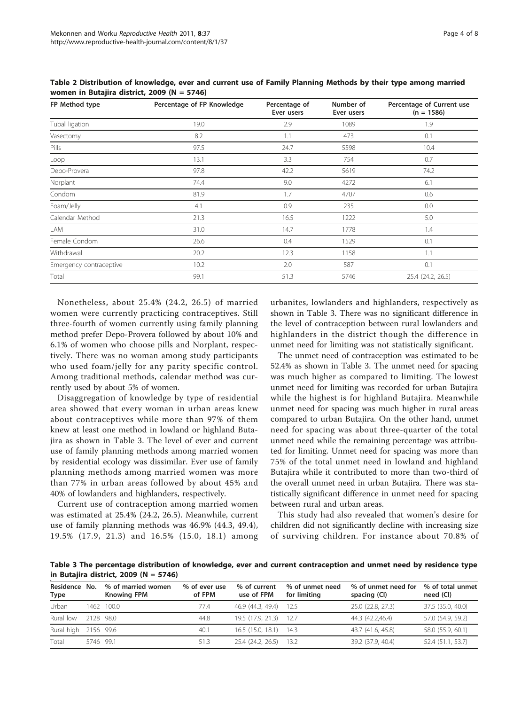| FP Method type          | Percentage of FP Knowledge | Percentage of<br>Ever users | Number of<br>Ever users | Percentage of Current use<br>$(n = 1586)$ |
|-------------------------|----------------------------|-----------------------------|-------------------------|-------------------------------------------|
| Tubal ligation          | 19.0                       | 2.9                         | 1089                    | 1.9                                       |
| Vasectomy               | 8.2                        | 1.1                         | 473                     | 0.1                                       |
| Pills                   | 97.5                       | 24.7                        | 5598                    | 10.4                                      |
| Loop                    | 13.1                       | 3.3                         | 754                     | 0.7                                       |
| Depo-Provera            | 97.8                       | 42.2                        | 5619                    | 74.2                                      |
| Norplant                | 74.4                       | 9.0                         | 4272                    | 6.1                                       |
| Condom                  | 81.9                       | 1.7                         | 4707                    | 0.6                                       |
| Foam/Jelly              | 4.1                        | 0.9                         | 235                     | 0.0                                       |
| Calendar Method         | 21.3                       | 16.5                        | 1222                    | 5.0                                       |
| LAM                     | 31.0                       | 14.7                        | 1778                    | 1.4                                       |
| Female Condom           | 26.6                       | 0.4                         | 1529                    | 0.1                                       |
| Withdrawal              | 20.2                       | 12.3                        | 1158                    | 1.1                                       |
| Emergency contraceptive | 10.2                       | 2.0                         | 587                     | 0.1                                       |
| Total                   | 99.1                       | 51.3                        | 5746                    | 25.4 (24.2, 26.5)                         |

<span id="page-3-0"></span>Table 2 Distribution of knowledge, ever and current use of Family Planning Methods by their type among married women in Butajira district, 2009 (N = 5746)

Nonetheless, about 25.4% (24.2, 26.5) of married women were currently practicing contraceptives. Still three-fourth of women currently using family planning method prefer Depo-Provera followed by about 10% and 6.1% of women who choose pills and Norplant, respectively. There was no woman among study participants who used foam/jelly for any parity specific control. Among traditional methods, calendar method was currently used by about 5% of women.

Disaggregation of knowledge by type of residential area showed that every woman in urban areas knew about contraceptives while more than 97% of them knew at least one method in lowland or highland Butajira as shown in Table 3. The level of ever and current use of family planning methods among married women by residential ecology was dissimilar. Ever use of family planning methods among married women was more than 77% in urban areas followed by about 45% and 40% of lowlanders and highlanders, respectively.

Current use of contraception among married women was estimated at 25.4% (24.2, 26.5). Meanwhile, current use of family planning methods was 46.9% (44.3, 49.4), 19.5% (17.9, 21.3) and 16.5% (15.0, 18.1) among urbanites, lowlanders and highlanders, respectively as shown in Table 3. There was no significant difference in the level of contraception between rural lowlanders and highlanders in the district though the difference in unmet need for limiting was not statistically significant.

The unmet need of contraception was estimated to be 52.4% as shown in Table 3. The unmet need for spacing was much higher as compared to limiting. The lowest unmet need for limiting was recorded for urban Butajira while the highest is for highland Butajira. Meanwhile unmet need for spacing was much higher in rural areas compared to urban Butajira. On the other hand, unmet need for spacing was about three-quarter of the total unmet need while the remaining percentage was attributed for limiting. Unmet need for spacing was more than 75% of the total unmet need in lowland and highland Butajira while it contributed to more than two-third of the overall unmet need in urban Butajira. There was statistically significant difference in unmet need for spacing between rural and urban areas.

This study had also revealed that women's desire for children did not significantly decline with increasing size of surviving children. For instance about 70.8% of

Table 3 The percentage distribution of knowledge, ever and current contraception and unmet need by residence type in Butajira district, 2009 ( $N = 5746$ )

| Residence No.<br>Type |           | % of married women<br><b>Knowing FPM</b> | % of ever use<br>of FPM | % of current<br>use of FPM | % of unmet need<br>for limiting | % of unmet need for<br>spacing (CI) | % of total unmet<br>need (CI) |
|-----------------------|-----------|------------------------------------------|-------------------------|----------------------------|---------------------------------|-------------------------------------|-------------------------------|
| Urban                 |           | 1462 100.0                               | 77.4                    | 46.9 (44.3, 49.4)          | 12.5                            | 25.0 (22.8, 27.3)                   | 37.5 (35.0, 40.0)             |
| Rural low             | 2128 98.0 |                                          | 44.8                    | 19.5 (17.9, 21.3)          | 12.7                            | 44.3 (42.2,46.4)                    | 57.0 (54.9, 59.2)             |
| Rural high 2156 99.6  |           |                                          | 40.1                    | 16.5 (15.0, 18.1) 14.3     |                                 | 43.7 (41.6, 45.8)                   | 58.0 (55.9, 60.1)             |
| Total                 | 5746 99.1 |                                          | 51.3                    | 25.4 (24.2, 26.5) 13.2     |                                 | 39.2 (37.9, 40.4)                   | 52.4 (51.1, 53.7)             |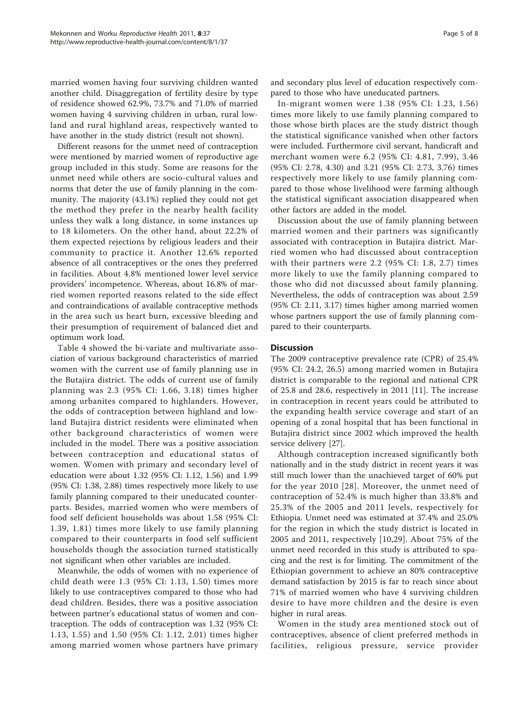married women having four surviving children wanted another child. Disaggregation of fertility desire by type of residence showed 62.9%, 73.7% and 71.0% of married women having 4 surviving children in urban, rural lowland and rural highland areas, respectively wanted to have another in the study district (result not shown).

Different reasons for the unmet need of contraception were mentioned by married women of reproductive age group included in this study. Some are reasons for the unmet need while others are socio-cultural values and norms that deter the use of family planning in the community. The majority (43.1%) replied they could not get the method they prefer in the nearby health facility unless they walk a long distance, in some instances up to 18 kilometers. On the other hand, about 22.2% of them expected rejections by religious leaders and their community to practice it. Another 12.6% reported absence of all contraceptives or the ones they preferred in facilities. About 4.8% mentioned lower level service providers' incompetence. Whereas, about 16.8% of married women reported reasons related to the side effect and contraindications of available contraceptive methods in the area such us heart burn, excessive bleeding and their presumption of requirement of balanced diet and optimum work load.

Table [4](#page-5-0) showed the bi-variate and multivariate association of various background characteristics of married women with the current use of family planning use in the Butajira district. The odds of current use of family planning was 2.3 (95% CI: 1.66, 3.18) times higher among urbanites compared to highlanders. However, the odds of contraception between highland and lowland Butajira district residents were eliminated when other background characteristics of women were included in the model. There was a positive association between contraception and educational status of women. Women with primary and secondary level of education were about 1.32 (95% CI: 1.12, 1.56) and 1.99 (95% CI: 1.38, 2.88) times respectively more likely to use family planning compared to their uneducated counterparts. Besides, married women who were members of food self deficient households was about 1.58 (95% CI: 1.39, 1.81) times more likely to use family planning compared to their counterparts in food self sufficient households though the association turned statistically not significant when other variables are included.

Meanwhile, the odds of women with no experience of child death were 1.3 (95% CI: 1.13, 1.50) times more likely to use contraceptives compared to those who had dead children. Besides, there was a positive association between partner's educational status of women and contraception. The odds of contraception was 1.32 (95% CI: 1.13, 1.55) and 1.50 (95% CI: 1.12, 2.01) times higher among married women whose partners have primary and secondary plus level of education respectively compared to those who have uneducated partners.

In-migrant women were 1.38 (95% CI: 1.23, 1.56) times more likely to use family planning compared to those whose birth places are the study district though the statistical significance vanished when other factors were included. Furthermore civil servant, handicraft and merchant women were 6.2 (95% CI: 4.81, 7.99), 3.46 (95% CI: 2.78, 4.30) and 3.21 (95% CI: 2.73, 3.76) times respectively more likely to use family planning compared to those whose livelihood were farming although the statistical significant association disappeared when other factors are added in the model.

Discussion about the use of family planning between married women and their partners was significantly associated with contraception in Butajira district. Married women who had discussed about contraception with their partners were 2.2 (95% CI: 1.8, 2.7) times more likely to use the family planning compared to those who did not discussed about family planning. Nevertheless, the odds of contraception was about 2.59 (95% CI: 2.11, 3.17) times higher among married women whose partners support the use of family planning compared to their counterparts.

#### **Discussion**

The 2009 contraceptive prevalence rate (CPR) of 25.4% (95% CI: 24.2, 26.5) among married women in Butajira district is comparable to the regional and national CPR of 25.8 and 28.6, respectively in 2011 [[11\]](#page-6-0). The increase in contraception in recent years could be attributed to the expanding health service coverage and start of an opening of a zonal hospital that has been functional in Butajira district since 2002 which improved the health service delivery [\[27](#page-7-0)].

Although contraception increased significantly both nationally and in the study district in recent years it was still much lower than the unachieved target of 60% put for the year 2010 [[28\]](#page-7-0). Moreover, the unmet need of contraception of 52.4% is much higher than 33.8% and 25.3% of the 2005 and 2011 levels, respectively for Ethiopia. Unmet need was estimated at 37.4% and 25.0% for the region in which the study district is located in 2005 and 2011, respectively [[10,](#page-6-0)[29](#page-7-0)]. About 75% of the unmet need recorded in this study is attributed to spacing and the rest is for limiting. The commitment of the Ethiopian government to achieve an 80% contraceptive demand satisfaction by 2015 is far to reach since about 71% of married women who have 4 surviving children desire to have more children and the desire is even higher in rural areas.

Women in the study area mentioned stock out of contraceptives, absence of client preferred methods in facilities, religious pressure, service provider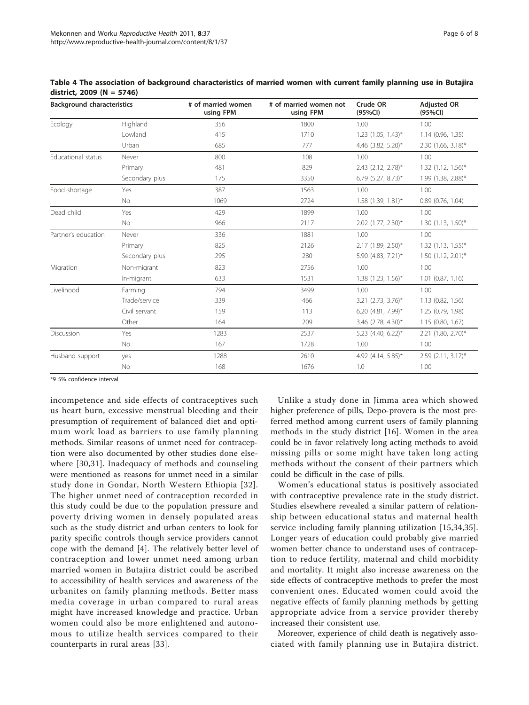| <b>Background characteristics</b> |                | # of married women<br>using FPM | # of married women not<br>using FPM | Crude OR<br>(95%CI)   | <b>Adjusted OR</b><br>$(95\%CI)$ |  |
|-----------------------------------|----------------|---------------------------------|-------------------------------------|-----------------------|----------------------------------|--|
| Ecology                           | Highland       | 356                             | 1800                                | 1.00                  | 1.00                             |  |
|                                   | Lowland        | 415                             | 1710                                | $1.23$ (1.05, 1.43)*  | 1.14(0.96, 1.35)                 |  |
|                                   | Urban          | 685                             | 777                                 | 4.46 (3.82, 5.20)*    | $2.30$ (1.66, 3.18)*             |  |
| Educational status                | Never          | 800                             | 108                                 | 1.00                  | 1.00                             |  |
|                                   | Primary        | 481                             | 829                                 | 2.43 (2.12, 2.78)*    | $1.32$ (1.12, 1.56)*             |  |
|                                   | Secondary plus | 175                             | 3350                                | 6.79 $(5.27, 8.73)^*$ | 1.99 (1.38, 2.88)*               |  |
| Food shortage                     | Yes            | 387                             | 1563                                | 1.00                  | 1.00                             |  |
|                                   | <b>No</b>      | 1069                            | 2724                                | $1.58$ (1.39, 1.81)*  | $0.89$ (0.76, 1.04)              |  |
| Dead child                        | Yes            | 429                             | 1899                                | 1.00                  | 1.00                             |  |
|                                   | No.            | 966                             | 2117                                | 2.02 (1.77, 2.30)*    | $1.30(1.13, 1.50)^{*}$           |  |
| Partner's education               | Never          | 336                             | 1881                                | 1.00                  | 1.00                             |  |
|                                   | Primary        | 825                             | 2126                                | 2.17 (1.89, 2.50)*    | $1.32$ (1.13, 1.55)*             |  |
|                                   | Secondary plus | 295                             | 280                                 | 5.90 (4.83, 7.21)*    | $1.50$ (1.12, 2.01)*             |  |
| Migration                         | Non-migrant    | 823                             | 2756                                | 1.00                  | 1.00                             |  |
|                                   | In-migrant     | 633                             | 1531                                | $1.38$ (1.23, 1.56)*  | $1.01$ $(0.87, 1.16)$            |  |
| Livelihood                        | Farming        | 794                             | 3499                                | 1.00                  | 1.00                             |  |
|                                   | Trade/service  | 339                             | 466                                 | $3.21$ (2.73, 3.76)*  | $1.13$ (0.82, 1.56)              |  |
|                                   | Civil servant  | 159                             | 113                                 | 6.20 (4.81, 7.99)*    | 1.25 (0.79, 1.98)                |  |
|                                   | Other          | 164                             | 209                                 | 3.46 (2.78, 4.30)*    | 1.15(0.80, 1.67)                 |  |
| Discussion                        | Yes            | 1283                            | 2537                                | 5.23 (4.40, 6.22)*    | 2.21 (1.80, 2.70)*               |  |
|                                   | No.            | 167                             | 1728                                | 1.00                  | 1.00                             |  |
| Husband support                   | yes            | 1288                            | 2610                                | 4.92 (4.14, 5.85)*    | $2.59$ (2.11, 3.17)*             |  |
|                                   | No             | 168                             | 1676                                | 1.0                   | 1.00                             |  |

<span id="page-5-0"></span>Table 4 The association of background characteristics of married women with current family planning use in Butajira district, 2009 (N = 5746)

\*9 5% confidence interval

incompetence and side effects of contraceptives such us heart burn, excessive menstrual bleeding and their presumption of requirement of balanced diet and optimum work load as barriers to use family planning methods. Similar reasons of unmet need for contraception were also documented by other studies done elsewhere [\[30,31](#page-7-0)]. Inadequacy of methods and counseling were mentioned as reasons for unmet need in a similar study done in Gondar, North Western Ethiopia [[32\]](#page-7-0). The higher unmet need of contraception recorded in this study could be due to the population pressure and poverty driving women in densely populated areas such as the study district and urban centers to look for parity specific controls though service providers cannot cope with the demand [[4\]](#page-6-0). The relatively better level of contraception and lower unmet need among urban married women in Butajira district could be ascribed to accessibility of health services and awareness of the urbanites on family planning methods. Better mass media coverage in urban compared to rural areas might have increased knowledge and practice. Urban women could also be more enlightened and autonomous to utilize health services compared to their counterparts in rural areas [\[33](#page-7-0)].

Unlike a study done in Jimma area which showed higher preference of pills, Depo-provera is the most preferred method among current users of family planning methods in the study district [[16](#page-7-0)]. Women in the area could be in favor relatively long acting methods to avoid missing pills or some might have taken long acting methods without the consent of their partners which could be difficult in the case of pills.

Women's educational status is positively associated with contraceptive prevalence rate in the study district. Studies elsewhere revealed a similar pattern of relationship between educational status and maternal health service including family planning utilization [\[15](#page-7-0),[34,35](#page-7-0)]. Longer years of education could probably give married women better chance to understand uses of contraception to reduce fertility, maternal and child morbidity and mortality. It might also increase awareness on the side effects of contraceptive methods to prefer the most convenient ones. Educated women could avoid the negative effects of family planning methods by getting appropriate advice from a service provider thereby increased their consistent use.

Moreover, experience of child death is negatively associated with family planning use in Butajira district.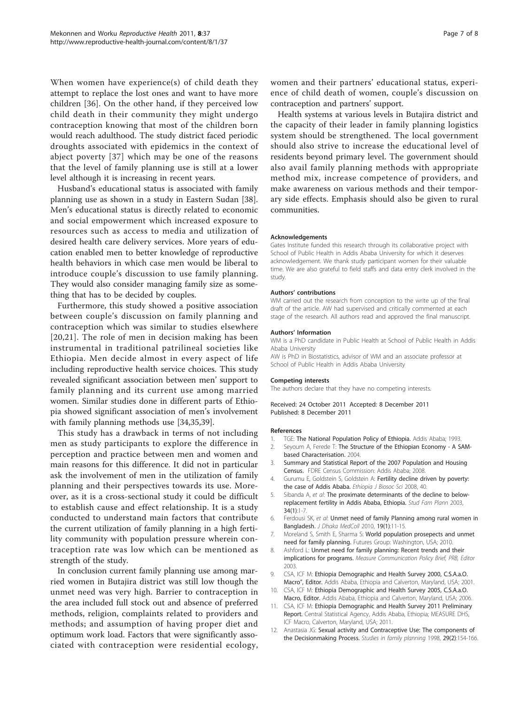<span id="page-6-0"></span>When women have experience(s) of child death they attempt to replace the lost ones and want to have more children [[36\]](#page-7-0). On the other hand, if they perceived low child death in their community they might undergo contraception knowing that most of the children born would reach adulthood. The study district faced periodic droughts associated with epidemics in the context of abject poverty [[37\]](#page-7-0) which may be one of the reasons that the level of family planning use is still at a lower level although it is increasing in recent years.

Husband's educational status is associated with family planning use as shown in a study in Eastern Sudan [\[38](#page-7-0)]. Men's educational status is directly related to economic and social empowerment which increased exposure to resources such as access to media and utilization of desired health care delivery services. More years of education enabled men to better knowledge of reproductive health behaviors in which case men would be liberal to introduce couple's discussion to use family planning. They would also consider managing family size as something that has to be decided by couples.

Furthermore, this study showed a positive association between couple's discussion on family planning and contraception which was similar to studies elsewhere [[20](#page-7-0),[21](#page-7-0)]. The role of men in decision making has been instrumental in traditional patrilineal societies like Ethiopia. Men decide almost in every aspect of life including reproductive health service choices. This study revealed significant association between men' support to family planning and its current use among married women. Similar studies done in different parts of Ethiopia showed significant association of men's involvement with family planning methods use [[34](#page-7-0),[35,39](#page-7-0)].

This study has a drawback in terms of not including men as study participants to explore the difference in perception and practice between men and women and main reasons for this difference. It did not in particular ask the involvement of men in the utilization of family planning and their perspectives towards its use. Moreover, as it is a cross-sectional study it could be difficult to establish cause and effect relationship. It is a study conducted to understand main factors that contribute the current utilization of family planning in a high fertility community with population pressure wherein contraception rate was low which can be mentioned as strength of the study.

In conclusion current family planning use among married women in Butajira district was still low though the unmet need was very high. Barrier to contraception in the area included full stock out and absence of preferred methods, religion, complaints related to providers and methods; and assumption of having proper diet and optimum work load. Factors that were significantly associated with contraception were residential ecology,

women and their partners' educational status, experience of child death of women, couple's discussion on contraception and partners' support.

Health systems at various levels in Butajira district and the capacity of their leader in family planning logistics system should be strengthened. The local government should also strive to increase the educational level of residents beyond primary level. The government should also avail family planning methods with appropriate method mix, increase competence of providers, and make awareness on various methods and their temporary side effects. Emphasis should also be given to rural communities.

#### Acknowledgements

Gates Institute funded this research through its collaborative project with School of Public Health in Addis Ababa University for which it deserves acknowledgement. We thank study participant women for their valuable time. We are also grateful to field staffs and data entry clerk involved in the study.

#### Authors' contributions

WM carried out the research from conception to the write up of the final draft of the article. AW had supervised and critically commented at each stage of the research. All authors read and approved the final manuscript.

#### Authors' Information

WM is a PhD candidate in Public Health at School of Public Health in Addis Ababa University

AW is PhD in Biostatistics, advisor of WM and an associate professor at School of Public Health in Addis Ababa University

#### Competing interests

The authors declare that they have no competing interests.

Received: 24 October 2011 Accepted: 8 December 2011 Published: 8 December 2011

#### References

- TGE: The National Population Policy of Ethiopia. Addis Ababa; 1993.
- 2. Seyoum A, Ferede T: The Structure of the Ethiopian Economy A SAMbased Characterisation. 2004.
- 3. Summary and Statistical Report of the 2007 Population and Housing Census. FDRE Census Commission: Addis Ababa; 2008.
- 4. Gurumu E, Goldstein S, Goldstein A: Fertility decline driven by poverty: the case of Addis Ababa. Ethiopia J Biosoc Sci 2008, 40.
- 5. Sibanda A, et al: [The proximate determinants of the decline to below](http://www.ncbi.nlm.nih.gov/pubmed/12772441?dopt=Abstract)[replacement fertility in Addis Ababa, Ethiopia.](http://www.ncbi.nlm.nih.gov/pubmed/12772441?dopt=Abstract) Stud Fam Plann 2003, 34(1):1-7.
- 6. Ferdousi SK, et al: Unmet need of family Planning among rural women in Bangladesh. J Dhaka MedColl 2010, 19(1):11-15.
- 7. Moreland S, Smith E, Sharma S: World population prosepects and unmet need for family planning. Futures Group: Washington, USA; 2010.
- 8. Ashford L: Unmet need for family planning: Recent trends and their implications for programs. Measure Communication Policy Brief, PRB, Editor 2003.
- 9. CSA, ICF M: Ethiopia Demographic and Health Survey 2000, C.S.A.a.O. Macro", Editor. Addis Ababa, Ethiopia and Calverton, Maryland, USA; 2001.
- 10. CSA, ICF M: Ethiopia Demographic and Health Survey 2005, C.S.A.a.O. Macro, Editor. Addis Ababa, Ethiopia and Calverton, Maryland, USA; 2006.
- 11. CSA, ICF M: Ethiopia Demographic and Health Survey 2011 Preliminary Report. Central Statistical Agency, Addis Ababa, Ethiopia; MEASURE DHS, ICF Macro, Calverton, Maryland, USA; 2011.
- 12. Anastasia JG: [Sexual activity and Contraceptive Use: The components of](http://www.ncbi.nlm.nih.gov/pubmed/9664629?dopt=Abstract) [the Decisionmaking Process.](http://www.ncbi.nlm.nih.gov/pubmed/9664629?dopt=Abstract) Studies in family planning 1998, 29(2):154-166.